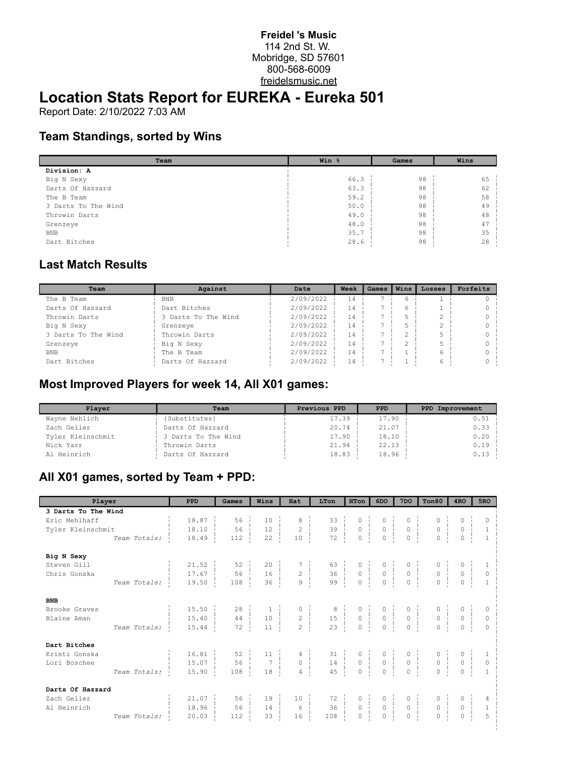#### **Freidel 's Music** 114 2nd St. W. Mobridge, SD 57601 800-568-6009 freidelsmusic.net

# **Location Stats Report for EUREKA - Eureka 501**

Report Date: 2/10/2022 7:03 AM

#### **Team Standings, sorted by Wins**

| Team                | Win % | Games | Wins |  |  |
|---------------------|-------|-------|------|--|--|
| Division: A         |       |       |      |  |  |
| Big N Sexy          | 66.3  | 98    | 65   |  |  |
| Darts Of Hazzard    | 63.3  | 98    | 62   |  |  |
| The B Team          | 59.2  | 98    | 58   |  |  |
| 3 Darts To The Wind | 50.0  | 98    | 49   |  |  |
| Throwin Darts       | 49.0  | 98    | 48   |  |  |
| Grenzeye            | 48.0  | 98    | 47   |  |  |
| <b>BNB</b>          | 35.7  | 98    | 35   |  |  |
| Dart Bitches        | 28.6  | 98    | 28   |  |  |

### **Last Match Results**

| Team                | Against             | Date      | Week | Games | Wins | Losses | Forfeits |  |
|---------------------|---------------------|-----------|------|-------|------|--------|----------|--|
| The B Team          | <b>BNB</b>          | 2/09/2022 |      |       |      |        |          |  |
| Darts Of Hazzard    | Dart Bitches        | 2/09/2022 | 14   |       |      |        |          |  |
| Throwin Darts       | 3 Darts To The Wind | 2/09/2022 | 14   |       |      |        | 0        |  |
| Big N Sexy          | Grenzeye            | 2/09/2022 | 14   |       |      | ↷      |          |  |
| 3 Darts To The Wind | Throwin Darts       | 2/09/2022 | 14   |       | ↷    | 5      |          |  |
| Grenzeye            | Big N Sexy          | 2/09/2022 | 14   |       | ⌒    | 5      |          |  |
| <b>BNB</b>          | The B Team          | 2/09/2022 | 14   |       |      | 6      |          |  |
| Dart Bitches        | Darts Of Hazzard    | 2/09/2022 | 14   |       |      | 6      |          |  |

#### **Most Improved Players for week 14, All X01 games:**

| Player            | Team                | Previous PPD | <b>PPD</b> | PPD Improvement |
|-------------------|---------------------|--------------|------------|-----------------|
| Wayne Nehlich     | {Substitutes}       | 17.39        | 17.90      | 0.51            |
| Zach Geller       | Darts Of Hazzard    | 20.74        | 21.07      | 0.33            |
| Tyler Kleinschmit | 3 Darts To The Wind | 17.90        | 18.10      | 0.20            |
| Nick Yarr         | Throwin Darts       | 21.94        | 22.13      | 0.19            |
| Al Heinrich       | Darts Of Hazzard    | 18.83        | 18.96      | 0.13            |

## **All X01 games, sorted by Team + PPD:**

| Player              | <b>PPD</b>       | Games                                                                                                                                                                                                                                                    | Wins | Hat | LTon                                                                                                                                                                                                                                | HTon | 6DO | 7 <sub>DO</sub> | Ton80 | 4 <sub>RO</sub> | 5RO            |
|---------------------|------------------|----------------------------------------------------------------------------------------------------------------------------------------------------------------------------------------------------------------------------------------------------------|------|-----|-------------------------------------------------------------------------------------------------------------------------------------------------------------------------------------------------------------------------------------|------|-----|-----------------|-------|-----------------|----------------|
| 3 Darts To The Wind |                  |                                                                                                                                                                                                                                                          |      |     |                                                                                                                                                                                                                                     |      |     |                 |       |                 |                |
| Eric Mehlhaff       | 18.87            | $56 -$                                                                                                                                                                                                                                                   |      |     |                                                                                                                                                                                                                                     |      |     |                 |       |                 |                |
| Tyler Kleinschmit   | 18.10            | $56 \frac{1}{2}$                                                                                                                                                                                                                                         |      |     |                                                                                                                                                                                                                                     |      |     |                 |       |                 | $\mathbf{1}$   |
| Team Totals:        | 18.49            | 112                                                                                                                                                                                                                                                      |      |     | $\begin{array}{c ccccc} 10 & & 8 & & 33 & & 0 & & 0 & & 0 & & 0 & & 0 \\ 12 & & 2 & & 39 & & 0 & & 0 & & 0 & & 0 & & 0 \\ 22 & & 10 & & 72 & & 0 & & 0 & & 0 & & 0 & & 0 \\ \end{array}$                                            |      |     |                 |       |                 |                |
| Big N Sexy          |                  |                                                                                                                                                                                                                                                          |      |     |                                                                                                                                                                                                                                     |      |     |                 |       |                 |                |
| Steven Gill         |                  |                                                                                                                                                                                                                                                          |      |     |                                                                                                                                                                                                                                     |      |     |                 |       |                 |                |
| Chris Gonska        |                  |                                                                                                                                                                                                                                                          |      |     |                                                                                                                                                                                                                                     |      |     |                 |       |                 |                |
| Team Totals:        |                  | $\begin{array}{cccccccccccc} 21.52 & & & 52 & & 20 & & 7 & & 63 & & 0 & & 0 & & 0 & & 0 & & 0 \\ 17.67 & & & 56 & & 16 & & & 2 & & 36 & & 0 & & 0 & & 0 & & 0 & & 0 \\ 19.50 & & & 108 & & 36 & & 9 & & 99 & & 0 & & 0 & & 0 & & 0 & & 0 \\ \end{array}$ |      |     |                                                                                                                                                                                                                                     |      |     |                 |       |                 |                |
| <b>BNB</b>          |                  |                                                                                                                                                                                                                                                          |      |     |                                                                                                                                                                                                                                     |      |     |                 |       |                 |                |
| Brooke Graves       | $15.50 \div$     |                                                                                                                                                                                                                                                          |      |     |                                                                                                                                                                                                                                     |      |     |                 |       |                 |                |
| Blaine Aman         | 15.40            |                                                                                                                                                                                                                                                          |      |     |                                                                                                                                                                                                                                     |      |     |                 |       |                 |                |
| Team Totals:        | 15.44            |                                                                                                                                                                                                                                                          |      |     | $\begin{array}{c cccccc} 28 & & & 1 & & & 0 & & 8 & & 0 & & 0 & & 0 & & 0 & & 0 \\ 44 & & & 10 & & & 2 & & 15 & & 0 & & 0 & & 0 & & 0 & & 0 \\ 72 & & 11 & & & 2 & & 23 & & 0 & & 0 & & 0 & & 0 & & 0 \\ \end{array}$               |      |     |                 |       |                 |                |
| Dart Bitches        |                  |                                                                                                                                                                                                                                                          |      |     |                                                                                                                                                                                                                                     |      |     |                 |       |                 |                |
| Kristi Gonska       | 16.81            |                                                                                                                                                                                                                                                          |      |     |                                                                                                                                                                                                                                     |      |     |                 |       |                 |                |
| Lori Boschee        | 15.07            |                                                                                                                                                                                                                                                          |      |     |                                                                                                                                                                                                                                     |      |     |                 |       |                 |                |
| Team Totals:        | 15.90            | 108                                                                                                                                                                                                                                                      |      |     | $\begin{array}{cccccccc} 52 & 11 & 4 & 31 & 0 & 0 & 0 & 0 & 0 & 0 & 0 \\ 56 & 7 & 0 & 14 & 0 & 0 & 0 & 0 & 0 & 0 & 0 \\ 108 & 18 & 4 & 4 & 45 & 0 & 0 & 0 & 0 & 0 & 0 \\ \end{array}$                                               |      |     |                 |       |                 |                |
| Darts Of Hazzard    |                  |                                                                                                                                                                                                                                                          |      |     |                                                                                                                                                                                                                                     |      |     |                 |       |                 |                |
| Zach Geller         | $21.07$ $\vdots$ | 56                                                                                                                                                                                                                                                       |      |     |                                                                                                                                                                                                                                     |      |     |                 |       |                 |                |
| Al Heinrich         |                  | $18.96$ $56$                                                                                                                                                                                                                                             |      |     | $\begin{array}{cccccccc} 19 &   & 10 &   & 72 &   & 0 &   & 0 &   & 0 &   & 0 &   \\ 14 &   & & 6 &   & 36 &   & 0 &   & 0 &   & 0 &   & 0 &   \\ 33 &   & 16 &   & 108 &   & 0 &   & 0 &   & 0 &   & 0 &   & 0 &   \\ \end{array}$ |      |     |                 |       |                 | $\overline{1}$ |
| Team Totals:        | $20.03 -$        | 112                                                                                                                                                                                                                                                      |      |     |                                                                                                                                                                                                                                     |      |     |                 |       |                 | $\overline{5}$ |
|                     |                  |                                                                                                                                                                                                                                                          |      |     |                                                                                                                                                                                                                                     |      |     |                 |       |                 |                |